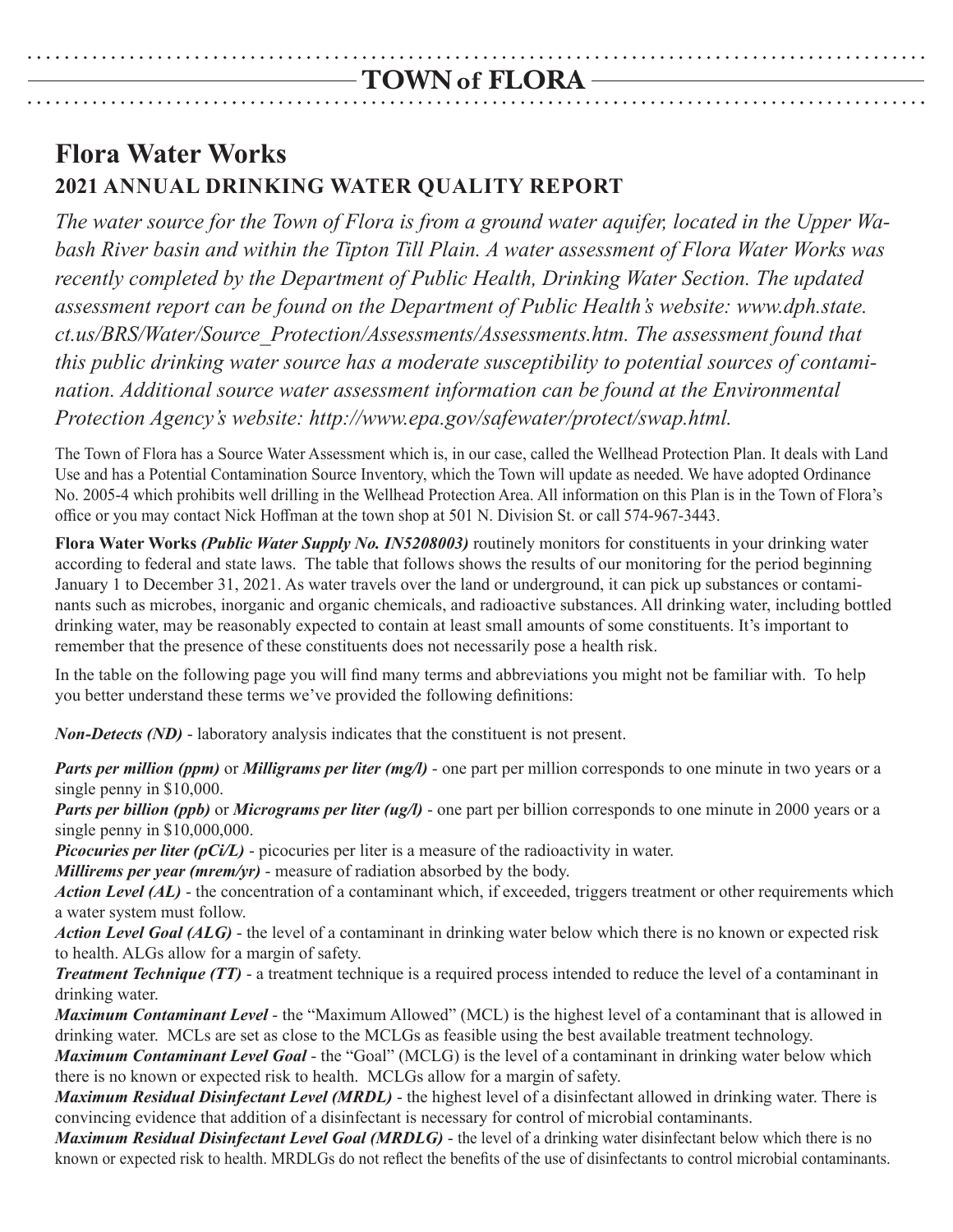# **Flora Water Works 2021 Annual Drinking Water Quality Report**

*The water source for the Town of Flora is from a ground water aquifer, located in the Upper Wabash River basin and within the Tipton Till Plain. A water assessment of Flora Water Works was recently completed by the Department of Public Health, Drinking Water Section. The updated assessment report can be found on the Department of Public Health's website: www.dph.state. ct.us/BRS/Water/Source\_Protection/Assessments/Assessments.htm. The assessment found that this public drinking water source has a moderate susceptibility to potential sources of contamination. Additional source water assessment information can be found at the Environmental Protection Agency's website: http://www.epa.gov/safewater/protect/swap.html.*

The Town of Flora has a Source Water Assessment which is, in our case, called the Wellhead Protection Plan. It deals with Land Use and has a Potential Contamination Source Inventory, which the Town will update as needed. We have adopted Ordinance No. 2005-4 which prohibits well drilling in the Wellhead Protection Area. All information on this Plan is in the Town of Flora's office or you may contact Nick Hoffman at the town shop at 501 N. Division St. or call 574-967-3443.

**Flora Water Works** *(Public Water Supply No. IN5208003)* routinely monitors for constituents in your drinking water according to federal and state laws. The table that follows shows the results of our monitoring for the period beginning January 1 to December 31, 2021. As water travels over the land or underground, it can pick up substances or contaminants such as microbes, inorganic and organic chemicals, and radioactive substances. All drinking water, including bottled drinking water, may be reasonably expected to contain at least small amounts of some constituents. It's important to remember that the presence of these constituents does not necessarily pose a health risk.

In the table on the following page you will find many terms and abbreviations you might not be familiar with. To help you better understand these terms we've provided the following definitions:

*Non-Detects (ND)* - laboratory analysis indicates that the constituent is not present.

*Parts per million (ppm)* or *Milligrams per liter (mg/l)* - one part per million corresponds to one minute in two years or a single penny in \$10,000.

*Parts per billion (ppb)* or *Micrograms per liter (ug/l)* - one part per billion corresponds to one minute in 2000 years or a single penny in \$10,000,000.

*Picocuries per liter (pCi/L)* - picocuries per liter is a measure of the radioactivity in water.

*Millirems per year (mrem/yr)* - measure of radiation absorbed by the body.

*Action Level (AL)* - the concentration of a contaminant which, if exceeded, triggers treatment or other requirements which a water system must follow.

*Action Level Goal (ALG)* - the level of a contaminant in drinking water below which there is no known or expected risk to health. ALGs allow for a margin of safety.

*Treatment Technique (TT)* - a treatment technique is a required process intended to reduce the level of a contaminant in drinking water.

*Maximum Contaminant Level* - the "Maximum Allowed" (MCL) is the highest level of a contaminant that is allowed in drinking water. MCLs are set as close to the MCLGs as feasible using the best available treatment technology.

*Maximum Contaminant Level Goal* - the "Goal" (MCLG) is the level of a contaminant in drinking water below which there is no known or expected risk to health. MCLGs allow for a margin of safety.

*Maximum Residual Disinfectant Level (MRDL)* - the highest level of a disinfectant allowed in drinking water. There is convincing evidence that addition of a disinfectant is necessary for control of microbial contaminants.

*Maximum Residual Disinfectant Level Goal (MRDLG)* - the level of a drinking water disinfectant below which there is no known or expected risk to health. MRDLGs do not reflect the benefits of the use of disinfectants to control microbial contaminants.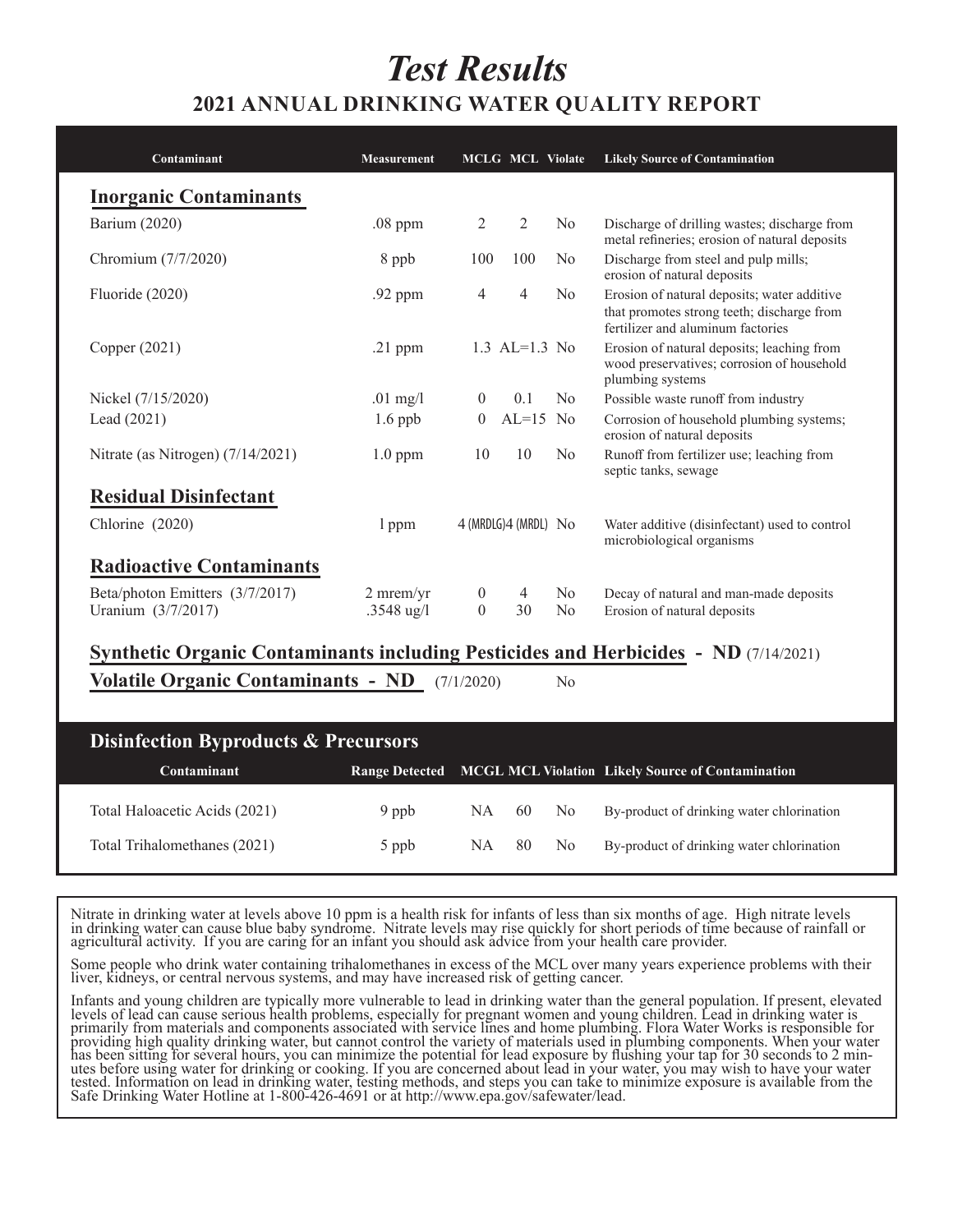# *Test Results* **2021 Annual Drinking Water Quality Report**

| Contaminant                       | <b>Measurement</b> |          | <b>MCLG MCL Violate</b>   |                | <b>Likely Source of Contamination</b>                                                                                          |
|-----------------------------------|--------------------|----------|---------------------------|----------------|--------------------------------------------------------------------------------------------------------------------------------|
| <b>Inorganic Contaminants</b>     |                    |          |                           |                |                                                                                                                                |
| Barium (2020)                     | $.08$ ppm          | 2        | $\overline{2}$            | N <sub>0</sub> | Discharge of drilling wastes; discharge from<br>metal refineries; erosion of natural deposits                                  |
| Chromium (7/7/2020)               | 8 ppb              | 100      | 100                       | N <sub>0</sub> | Discharge from steel and pulp mills;<br>erosion of natural deposits                                                            |
| Fluoride (2020)                   | .92 ppm            | 4        | $\overline{4}$            | N <sub>0</sub> | Erosion of natural deposits; water additive<br>that promotes strong teeth; discharge from<br>fertilizer and aluminum factories |
| Copper $(2021)$                   | $.21$ ppm          |          | 1.3 AL=1.3 No             |                | Erosion of natural deposits; leaching from<br>wood preservatives; corrosion of household<br>plumbing systems                   |
| Nickel (7/15/2020)                | $.01$ mg/l         | $\theta$ | 0.1                       | No             | Possible waste runoff from industry                                                                                            |
| Lead $(2021)$                     | $1.6$ ppb          | $\theta$ | $AL=15$ No                |                | Corrosion of household plumbing systems;<br>erosion of natural deposits                                                        |
| Nitrate (as Nitrogen) (7/14/2021) | $1.0$ ppm          | 10       | 10                        | N <sub>0</sub> | Runoff from fertilizer use; leaching from<br>septic tanks, sewage                                                              |
| <b>Residual Disinfectant</b>      |                    |          |                           |                |                                                                                                                                |
| Chlorine (2020)                   | l ppm              |          | $4$ (MRDLG) $4$ (MRDL) No |                | Water additive (disinfectant) used to control<br>microbiological organisms                                                     |
| <b>Radioactive Contaminants</b>   |                    |          |                           |                |                                                                                                                                |
| Beta/photon Emitters (3/7/2017)   | $2$ mrem/yr        | $\theta$ | 4                         | N <sub>0</sub> | Decay of natural and man-made deposits                                                                                         |
| Uranium (3/7/2017)                | .3548 $\mu$ g/l    | $\theta$ | 30                        | No             | Erosion of natural deposits                                                                                                    |

## **Synthetic Organic Contaminants including Pesticides and Herbicides - ND** (7/14/2021)

**Volatile Organic Contaminants - ND** (7/1/2020)No

| <b>Disinfection Byproducts &amp; Precursors</b> |         |       |  |     |                                                                  |  |  |  |  |
|-------------------------------------------------|---------|-------|--|-----|------------------------------------------------------------------|--|--|--|--|
| <b>Contaminant</b>                              |         |       |  |     | Range Detected MCGL MCL Violation Likely Source of Contamination |  |  |  |  |
| Total Haloacetic Acids (2021)                   | 9 ppb   | NA 60 |  | No. | By-product of drinking water chlorination                        |  |  |  |  |
| Total Trihalomethanes (2021)                    | $5$ ppb | NA 80 |  | No. | By-product of drinking water chlorination                        |  |  |  |  |

Nitrate in drinking water at levels above 10 ppm is a health risk for infants of less than six months of age. High nitrate levels in drinking water can cause blue baby syndrome. Nitrate levels may rise quickly for short periods of time because of rainfall or agricultural activity. If you are caring for an infant you should ask advice from your health care provider.

Some people who drink water containing trihalomethanes in excess of the MCL over many years experience problems with their liver, kidneys, or central nervous systems, and may have increased risk of getting cancer.

Infants and young children are typically more vulnerable to lead in drinking water than the general population. If present, elevated levels of lead can cause serious health problems, especially for pregnant women and young children. Lead in drinking water is primarily from materials and components associated with service lines and home plumbing. Flora Water Works is responsible for<br>providing high quality drinking water, but cannot control the variety of materials used in plumb providing high quality drinking water, but cannot control the variety of materials used in plumbing components. When your water<br>has been sitting for several hours, you can minimize the potential for lead exposure by flushi tested. Information on lead in drinking water, testing methods, and steps you can take to minimize exposure is available from the Safe Drinking Water Hotline at 1-800-426-4691 or at http://www.epa.gov/safewater/lead.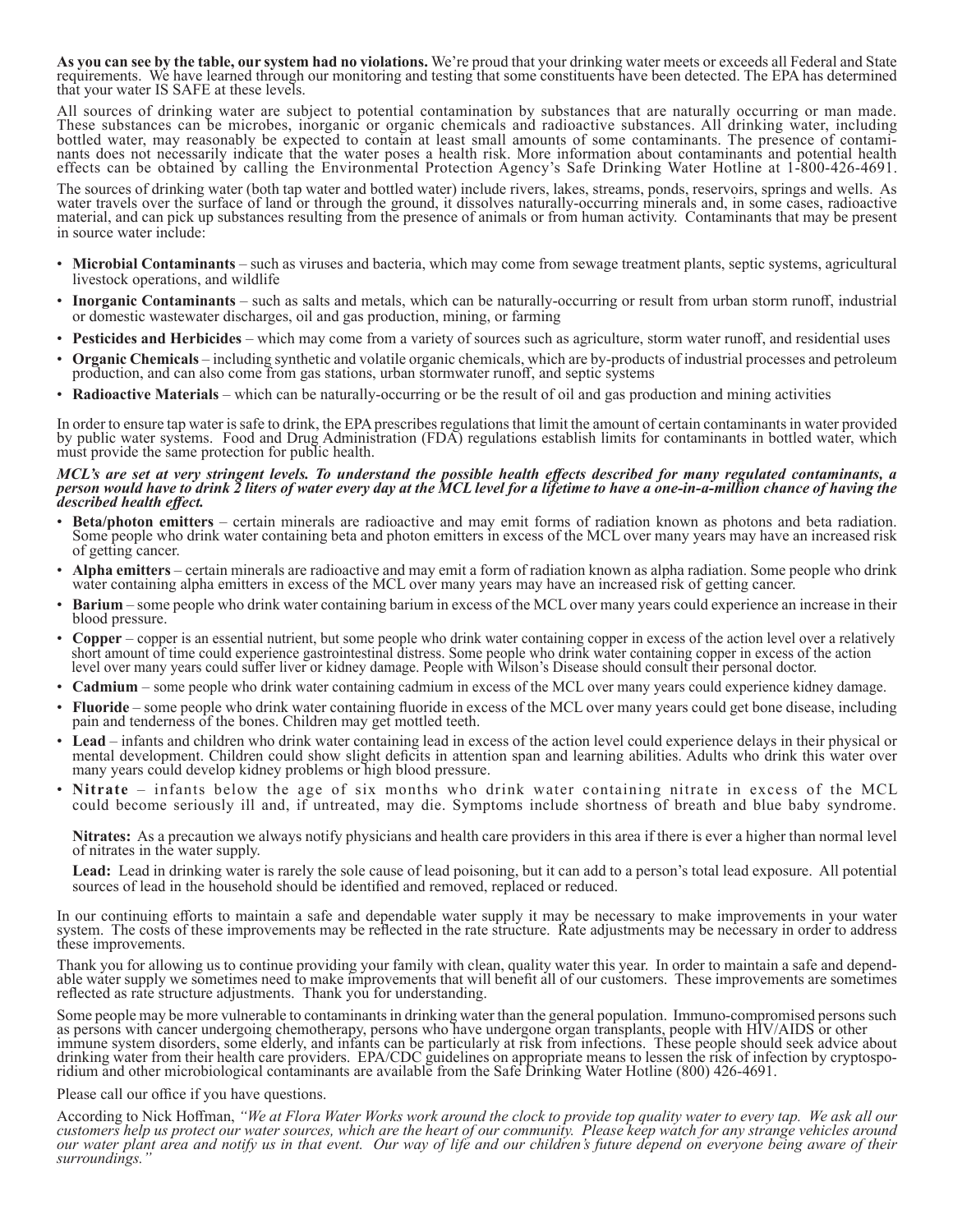As you can see by the table, our system had no violations. We're proud that your drinking water meets or exceeds all Federal and State requirements. We have learned through our monitoring and testing that some constituents that your water IS SAFE at these levels.

All sources of drinking water are subject to potential contamination by substances that are naturally occurring or man made. These substances can be microbes, inorganic or organic chemicals and radioactive substances. All drinking water, including bottled water, may reasonably be expected to contain at least small amounts of some contaminants. The presence of contami-<br>nants does not necessarily indicate that the water poses a health risk. More information about cont effects can be obtained by calling the Environmental Protection Agency's Safe Drinking Water Hotline at 1-800-426-4691.

The sources of drinking water (both tap water and bottled water) include rivers, lakes, streams, ponds, reservoirs, springs and wells. As water travels over the surface of land or through the ground, it dissolves naturally-occurring minerals and, in some cases, radioactive material, and can pick up substances resulting from the presence of animals or from human activity. Contaminants that may be present in source water include:

- **Microbial Contaminants** such as viruses and bacteria, which may come from sewage treatment plants, septic systems, agricultural livestock operations, and wildlife
- **Inorganic Contaminants** such as salts and metals, which can be naturally-occurring or result from urban storm runoff, industrial or domestic wastewater discharges, oil and gas production, mining, or farming
- **Pesticides and Herbicides** which may come from a variety of sources such as agriculture, storm water runoff, and residential uses
- **Organic Chemicals** including synthetic and volatile organic chemicals, which are by-products of industrial processes and petroleum production, and can also come from gas stations, urban stormwater runoff, and septic sys
- **Radioactive Materials** which can be naturally-occurring or be the result of oil and gas production and mining activities

In order to ensure tap water is safe to drink, the EPA prescribes regulations that limit the amount of certain contaminants in water provided by public water systems. Food and Drug Administration (FDA) regulations establish limits for contaminants in bottled water, which must provide the same protection for public health.

#### *MCL's are set at very stringent levels. To understand the possible health effects described for many regulated contaminants, a person would have to drink 2 liters of water every day at the MCL level for a lifetime to have a one-in-a-million chance of having the described health effect.*

- **Beta/photon emitters** certain minerals are radioactive and may emit forms of radiation known as photons and beta radiation.<br>Some people who drink water containing beta and photon emitters in excess of the MCL over many of getting cancer.
- Alpha emitters certain minerals are radioactive and may emit a form of radiation known as alpha radiation. Some people who drink water containing alpha emitters in excess of the MCL over many years may have an increased
- **Barium** some people who drink water containing barium in excess of the MCL over many years could experience an increase in their blood pressure.
- Copper copper is an essential nutrient, but some people who drink water containing copper in excess of the action level over a relatively short amount of time could experience gastrointestinal distress. Some people who level over many years could suffer liver or kidney damage. People with Wilson's Disease should consult their personal doctor.
- **Cadmium** some people who drink water containing cadmium in excess of the MCL over many years could experience kidney damage.
- **Fluoride** some people who drink water containing fluoride in excess of the MCL over many years could get bone disease, including pain and tenderness of the bones. Children may get mottled teeth.
- Lead infants and children who drink water containing lead in excess of the action level could experience delays in their physical or mental development. Children could show slight deficits in attention span and learnin many years could develop kidney problems or high blood pressure.
- **Nitrate** infants below the age of six months who drink water containing nitrate in excess of the MCL could become seriously ill and, if untreated, may die. Symptoms include shortness of breath and blue baby syndrome.

**Nitrates:** As a precaution we always notify physicians and health care providers in this area if there is ever a higher than normal level of nitrates in the water supply.

 **Lead:** Lead in drinking water is rarely the sole cause of lead poisoning, but it can add to a person's total lead exposure. All potential sources of lead in the household should be identified and removed, replaced or reduced.

In our continuing efforts to maintain a safe and dependable water supply it may be necessary to make improvements in your water system. The costs of these improvements may be reflected in the rate structure. Rate adjustments may be necessary in order to address these improvements.

Thank you for allowing us to continue providing your family with clean, quality water this year. In order to maintain a safe and depend-<br>able water supply we sometimes need to make improvements that will benefit all of our reflected as rate structure adjustments. Thank you for understanding.

Some people may be more vulnerable to contaminants in drinking water than the general population. Immuno-compromised persons such as persons with cancer undergoing chemotherapy, persons who have undergone organ transplants, people with HIV/AIDS or other immune system disorders, some elderly, and infants can be particularly at risk from infections. These people should seek advice about drinking water from their health care providers. EPA/CDC guidelines on appropriate means to lessen the risk of infection by cryptospo-<br>ridium and other microbiological contaminants are available from the Safe Drinking Wate

#### Please call our office if you have questions.

According to Nick Hoffman, "We at Flora Water Works work around the clock to provide top quality water to every tap. We ask all our customers help us protect our water sources, which are the heart of our community. Please *our water plant area and notify us in that event. Our way of life and our children's future depend on everyone being aware of their surroundings."*